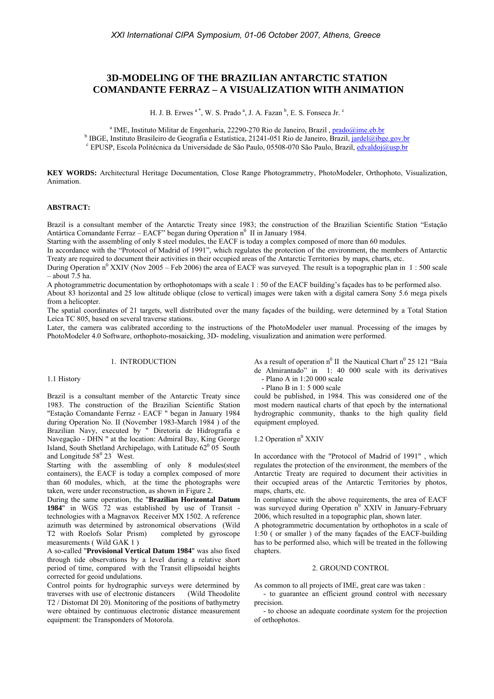# **3D-MODELING OF THE BRAZILIAN ANTARCTIC STATION COMANDANTE FERRAZ – A VISUALIZATION WITH ANIMATION**

H. J. B. Erwes  $a^*$ , W. S. Prado  $a$ , J. A. Fazan  $b$ , E. S. Fonseca Jr.  $c$ 

<sup>a</sup> IME, Instituto Militar de Engenharia, 22290-270 Rio de Janeiro, Brazil, *prado@ime.eb.br* brecile de Geografia e Estatística, 21241, 051 Bio de Janeiro, Brazil, instel@iba <sup>b</sup> IBGE, Instituto Brasileiro de Geografia e Estatística, 21241-051 Rio de Janeiro, Brazil, jardel@ibge.gov.br EPUSP, Escola Politécnica da Universidade de São Paulo, 05508-070 São Paulo, Brazil, edvaldoj@usp.br

**KEY WORDS:** Architectural Heritage Documentation, Close Range Photogrammetry, PhotoModeler, Orthophoto, Visualization, Animation.

## **ABSTRACT:**

Brazil is a consultant member of the Antarctic Treaty since 1983; the construction of the Brazilian Scientific Station "Estação Antártica Comandante Ferraz – EACF" began during Operation n<sup>0</sup> II in January 1984.

Starting with the assembling of only 8 steel modules, the EACF is today a complex composed of more than 60 modules.

In accordance with the "Protocol of Madrid of 1991", which regulates the protection of the environment, the members of Antarctic Treaty are required to document their activities in their occupied areas of the Antarctic Territories by maps, charts, etc.

During Operation n<sup>0</sup> XXIV (Nov 2005 – Feb 2006) the area of EACF was surveyed. The result is a topographic plan in 1:500 scale  $-$  about 7.5 ha.

A photogrammetric documentation by orthophotomaps with a scale 1 : 50 of the EACF building's façades has to be performed also.

About 83 horizontal and 25 low altitude oblique (close to vertical) images were taken with a digital camera Sony 5.6 mega pixels from a helicopter.

The spatial coordinates of 21 targets, well distributed over the many façades of the building, were determined by a Total Station Leica TC 805, based on several traverse stations.

Later, the camera was calibrated according to the instructions of the PhotoModeler user manual. Processing of the images by PhotoModeler 4.0 Software, orthophoto-mosaicking, 3D- modeling, visualization and animation were performed.

#### 1. INTRODUCTION

#### 1.1 History

Brazil is a consultant member of the Antarctic Treaty since 1983. The construction of the Brazilian Scientific Station "Estação Comandante Ferraz - EACF " began in January 1984 during Operation No. II (November 1983-March 1984 ) of the Brazilian Navy, executed by " Diretoria de Hidrografia e Navegação - DHN " at the location: Admiral Bay, King George Island, South Shetland Archipelago, with Latitude  $62^0$  05<sup>'</sup> South and Longitude  $58^{\circ}$  23<sup>'</sup> West.

Starting with the assembling of only 8 modules(steel containers), the EACF is today a complex composed of more than 60 modules, which, at the time the photographs were taken, were under reconstruction, as shown in Figure 2.

During the same operation, the "**Brazilian Horizontal Datum 1984**" in WGS 72 was established by use of Transit technologies with a Magnavox Receiver MX 1502. A reference azimuth was determined by astronomical observations (Wild T2 with Roelofs Solar Prism) completed by gyroscope measurements ( Wild GAK 1 )

A so-called "**Provisional Vertical Datum 1984**" was also fixed through tide observations by a level during a relative short period of time, compared with the Transit ellipsoidal heights corrected for geoid undulations.

Control points for hydrographic surveys were determined by traverses with use of electronic distancers (Wild Theodolite T2 / Distomat DI 20). Monitoring of the positions of bathymetry were obtained by continuous electronic distance measurement equipment: the Transponders of Motorola.

As a result of operation  $n^0$  II the Nautical Chart  $n^0$  25 121 "Baía de Almirantado" in 1: 40 000 scale with its derivatives - Plano A in 1:20 000 scale

- Plano B in 1: 5 000 scale

could be published, in 1984. This was considered one of the most modern nautical charts of that epoch by the international hydrographic community, thanks to the high quality field equipment employed.

# 1.2 Operation  $n^0$  XXIV

In accordance with the "Protocol of Madrid of 1991" , which regulates the protection of the environment, the members of the Antarctic Treaty are required to document their activities in their occupied areas of the Antarctic Territories by photos, maps, charts, etc.

In compliance with the above requirements, the area of EACF was surveyed during Operation  $n^0$  XXIV in January-February 2006, which resulted in a topographic plan, shown later.

A photogrammetric documentation by orthophotos in a scale of 1:50 ( or smaller ) of the many façades of the EACF-building has to be performed also, which will be treated in the following chapters.

#### 2. GROUND CONTROL

As common to all projects of IME, great care was taken :

 - to guarantee an efficient ground control with necessary precision.

 - to choose an adequate coordinate system for the projection of orthophotos.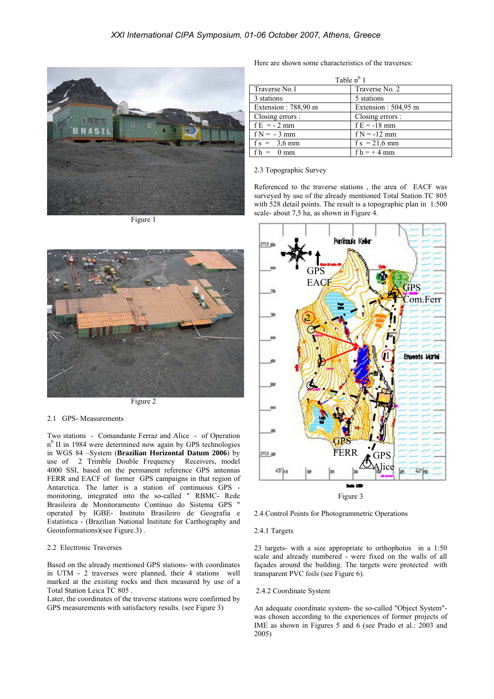

Figure 1



Figure 2

#### 2.1 GPS- Measurements

Two stations - Comandante Ferraz and Alice - of Operation n<sup>0</sup> II in 1984 were determined now again by GPS technologies in WGS 84 –System (**Brazilian Horizontal Datum 2006**) by use of 2 Trimble Double Frequency Receivers, model 4000 SSI, based on the permanent reference GPS antennas FERR and EACF of former GPS campaigns in that region of Antarctica. The latter is a station of continuous GPS monitoring, integrated into the so-called " RBMC- Rede Brasileira de Monitoramento Contínuo do Sistema GPS " operated by IGBE- Instituto Brasileiro de Geografia e Estatística - (Brazilian National Institute for Carthography and Geoinformations)(see Figure.3) .

## 2.2 Electronic Traverses

Based on the already mentioned GPS stations- with coordinates in UTM - 2 traverses were planned, their 4 stations well marked at the existing rocks and then measured by use of a Total Station Leica TC 805 .

Later, the coordinates of the traverse stations were confirmed by GPS measurements with satisfactory results. (see Figure 3)

Here are shown some characteristics of the traverses:

| Table $n^0$ 1       |                     |
|---------------------|---------------------|
| Traverse No.1       | Traverse No. 2      |
| 3 stations          | 5 stations          |
| Extension: 788,90 m | Extension: 504,95 m |
| Closing errors :    | Closing errors :    |
| $f E = -2 mm$       | $fE = -18$ mm       |
| $f N = -3$ mm       | $f N = -12$ mm      |
| $fs = 3.6$ mm       | $f s = 21.6$ mm     |
| $fh = 0$ mm         | $fh = +4$ mm        |

#### 2.3 Topographic Survey

Referenced to the traverse stations , the area of EACF was surveyed by use of the already mentioned Total Station TC 805 with 528 detail points. The result is a topographic plan in 1:500 scale- about 7,5 ha, as shown in Figure 4.



2.4 Control Points for Photogrammetric Operations

#### 2.4.1 Targets

23 targets- with a size appropriate to orthophotos in a 1:50 scale and already numbered - were fixed on the walls of all façades around the building. The targets were protected with transparent PVC foils (see Figure 6).

### 2.4.2 Coordinate System

An adequate coordinate system- the so-called "Object System" was chosen according to the experiences of former projects of IME as shown in Figures 5 and 6 (see Prado et al.: 2003 and 2005)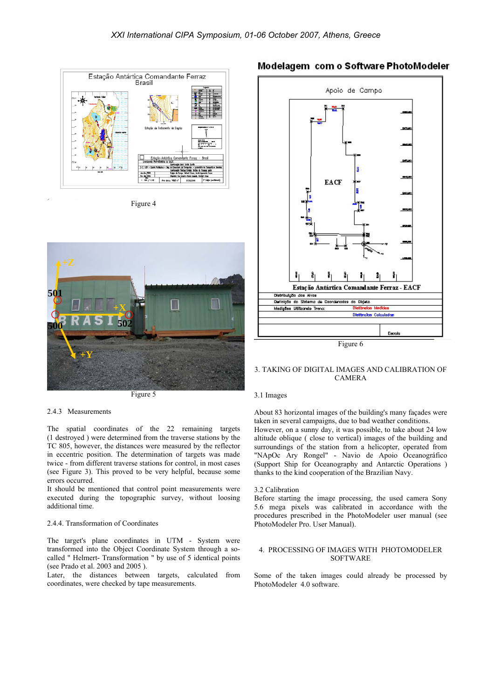

Figure 4



Figure 5

#### 2.4.3 Measurements

The spatial coordinates of the 22 remaining targets (1 destroyed ) were determined from the traverse stations by the TC 805, however, the distances were measured by the reflector in eccentric position. The determination of targets was made twice - from different traverse stations for control, in most cases (see Figure 3). This proved to be very helpful, because some errors occurred.

It should be mentioned that control point measurements were executed during the topographic survey, without loosing additional time.

#### 2.4.4. Transformation of Coordinates

The target's plane coordinates in UTM - System were transformed into the Object Coordinate System through a socalled " Helmert- Transformation " by use of 5 identical points (see Prado et al. 2003 and 2005 ).

Later, the distances between targets, calculated from coordinates, were checked by tape measurements.

# Modelagem com o Software PhotoModeler



#### 3. TAKING OF DIGITAL IMAGES AND CALIBRATION OF CAMERA

#### 3.1 Images

 However, on a sunny day, it was possible, to take about 24 low About 83 horizontal images of the building's many façades were taken in several campaigns, due to bad weather conditions. altitude oblique ( close to vertical) images of the building and surroundings of the station from a helicopter, operated from "NApOc Ary Rongel" - Navio de Apoio Oceanográfico (Support Ship for Oceanography and Antarctic Operations ) thanks to the kind cooperation of the Brazilian Navy.

#### 3.2 Calibration

Before starting the image processing, the used camera Sony 5.6 mega pixels was calibrated in accordance with the procedures prescribed in the PhotoModeler user manual (see PhotoModeler Pro. User Manual).

#### 4. PROCESSING OF IMAGES WITH PHOTOMODELER SOFTWARE

Some of the taken images could already be processed by PhotoModeler 4.0 software.